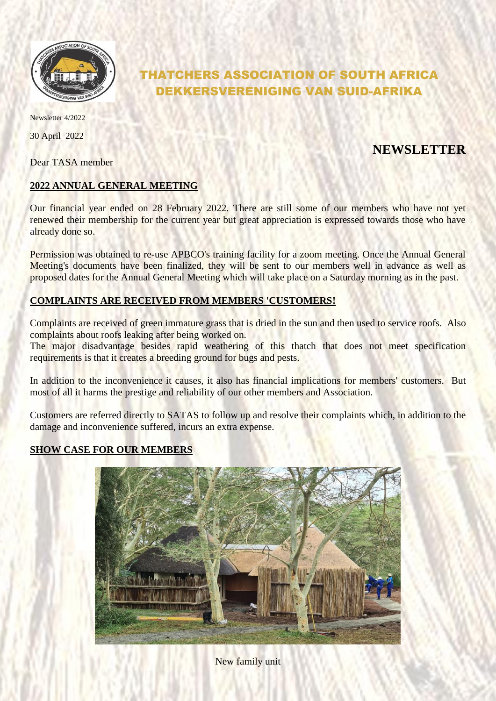

# THATCHERS ASSOCIATION OF SOUTH AFRICA DEKKERSVERENIGING VAN SUID-AFRIKA

Newsletter 4/2022

30 April 2022

Dear TASA member

## **NEWSLETTER**

### **2022 ANNUAL GENERAL MEETING**

Our financial year ended on 28 February 2022. There are still some of our members who have not yet renewed their membership for the current year but great appreciation is expressed towards those who have already done so.

Permission was obtained to re-use APBCO's training facility for a zoom meeting. Once the Annual General Meeting's documents have been finalized, they will be sent to our members well in advance as well as proposed dates for the Annual General Meeting which will take place on a Saturday morning as in the past.

#### **COMPLAINTS ARE RECEIVED FROM MEMBERS 'CUSTOMERS!**

Complaints are received of green immature grass that is dried in the sun and then used to service roofs. Also complaints about roofs leaking after being worked on.

The major disadvantage besides rapid weathering of this thatch that does not meet specification requirements is that it creates a breeding ground for bugs and pests.

In addition to the inconvenience it causes, it also has financial implications for members' customers. But most of all it harms the prestige and reliability of our other members and Association.

Customers are referred directly to SATAS to follow up and resolve their complaints which, in addition to the damage and inconvenience suffered, incurs an extra expense.

### **SHOW CASE FOR OUR MEMBERS**



New family unit